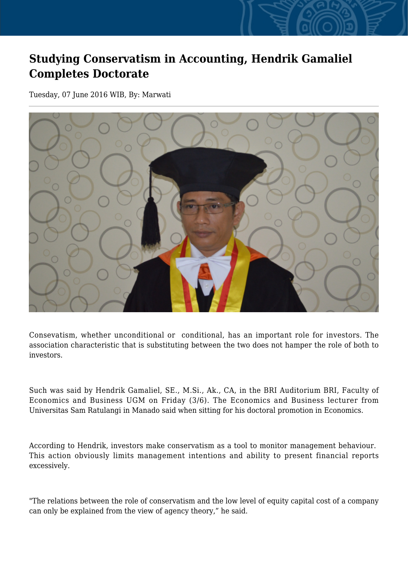## **Studying Conservatism in Accounting, Hendrik Gamaliel Completes Doctorate**

Tuesday, 07 June 2016 WIB, By: Marwati



Consevatism, whether unconditional or conditional, has an important role for investors. The association characteristic that is substituting between the two does not hamper the role of both to investors.

Such was said by Hendrik Gamaliel, SE., M.Si., Ak., CA, in the BRI Auditorium BRI, Faculty of Economics and Business UGM on Friday (3/6). The Economics and Business lecturer from Universitas Sam Ratulangi in Manado said when sitting for his doctoral promotion in Economics.

According to Hendrik, investors make conservatism as a tool to monitor management behaviour. This action obviously limits management intentions and ability to present financial reports excessively.

"The relations between the role of conservatism and the low level of equity capital cost of a company can only be explained from the view of agency theory," he said.